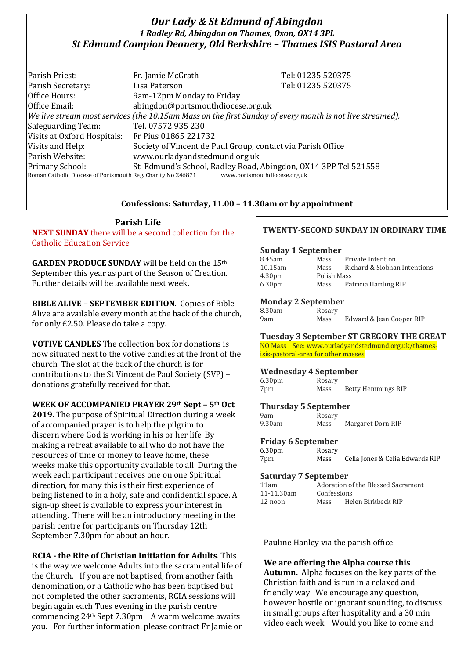# *Our Lady & St Edmund of Abingdon 1 Radley Rd, Abingdon on Thames, Oxon, OX14 3PL St Edmund Campion Deanery, Old Berkshire – Thames ISIS Pastoral Area*

Parish Priest: Fr. Jamie McGrath Tel: 01235 520375 Parish Secretary: Tel: 01235 520375 Office Hours: 9am-12pm Monday to Friday Office Email: abingdon@portsmouthdiocese.org.uk *We live stream most services (the 10.15am Mass on the first Sunday of every month is not live streamed).* Safeguarding Team: Tel. 07572 935 230 Visits at Oxford Hospitals: Fr Pius 01865 221732 Visits and Help: Society of Vincent de Paul Group, contact via Parish Office Parish Website: www.ourladyandstedmund.org.uk Primary School: St. Edmund's School, Radley Road, Abingdon, OX14 3PP Tel 521558 Roman Catholic Diocese of Portsmouth Reg. Charity No 246871 www.portsmouthdiocese.org.uk

## **Confessions: Saturday, 11.00 – 11.30am or by appointment**

**Parish Life**

**NEXT SUNDAY** there will be a second collection for the Catholic Education Service.

**GARDEN PRODUCE SUNDAY** will be held on the 15th September this year as part of the Season of Creation. Further details will be available next week.

**BIBLE ALIVE – SEPTEMBER EDITION**. Copies of Bible Alive are available every month at the back of the church, for only £2.50. Please do take a copy.

**VOTIVE CANDLES** The collection box for donations is now situated next to the votive candles at the front of the church. The slot at the back of the church is for contributions to the St Vincent de Paul Society (SVP) – donations gratefully received for that.

**WEEK OF ACCOMPANIED PRAYER 29th Sept – 5th Oct**

**2019.** The purpose of Spiritual Direction during a week of accompanied prayer is to help the pilgrim to discern where God is working in his or her life. By making a retreat available to all who do not have the resources of time or money to leave home, these weeks make this opportunity available to all. During the week each participant receives one on one Spiritual direction, for many this is their first experience of being listened to in a holy, safe and confidential space. A sign-up sheet is available to express your interest in attending. There will be an introductory meeting in the parish centre for participants on Thursday 12th September 7.30pm for about an hour.

**RCIA - the Rite of Christian Initiation for Adults**. This is the way we welcome Adults into the sacramental life of the Church. If you are not baptised, from another faith denomination, or a Catholic who has been baptised but not completed the other sacraments, RCIA sessions will begin again each Tues evening in the parish centre commencing 24th Sept 7.30pm. A warm welcome awaits you. For further information, please contract Fr Jamie or

## **TWENTY-SECOND SUNDAY IN ORDINARY TIME**

#### **Sunday 1 September**

| Mass        | Private Intention            |
|-------------|------------------------------|
| Mass        | Richard & Siobhan Intentions |
| Polish Mass |                              |
| Mass        | Patricia Harding RIP         |
|             |                              |

### **Monday 2 September**

| 8.30am | Rosary |                          |
|--------|--------|--------------------------|
| 9am    | Mass   | Edward & Jean Cooper RIP |

### **Tuesday 3 September ST GREGORY THE GREAT**

NO Mass See: www.ourladyandstedmund.org.uk/thamesisis-pastoral-area for other masses

#### **Wednesday 4 September**

| 6.30 <sub>pm</sub> | Rosary |                           |
|--------------------|--------|---------------------------|
| 7pm                | Mass   | <b>Betty Hemmings RIP</b> |

### **Thursday 5 September**

| 9am    | Rosary |                   |
|--------|--------|-------------------|
| 9.30am | Mass   | Margaret Dorn RIP |

#### **Friday 6 September**

| 6.30pm | Rosary |                                 |
|--------|--------|---------------------------------|
| 7pm    | Mass   | Celia Jones & Celia Edwards RIP |

### **Saturday 7 September**

| 11am            | Adoration of the Blessed Sacrament |                    |  |
|-----------------|------------------------------------|--------------------|--|
| $11 - 11.30$ am | Confessions                        |                    |  |
| $12$ noon       | Mass                               | Helen Birkbeck RIP |  |
|                 |                                    |                    |  |

Pauline Hanley via the parish office.

## **We are offering the Alpha course this**

**Autumn.** Alpha focuses on the key parts of the Christian faith and is run in a relaxed and friendly way. We encourage any question, however hostile or ignorant sounding, to discuss in small groups after hospitality and a 30 min video each week. Would you like to come and